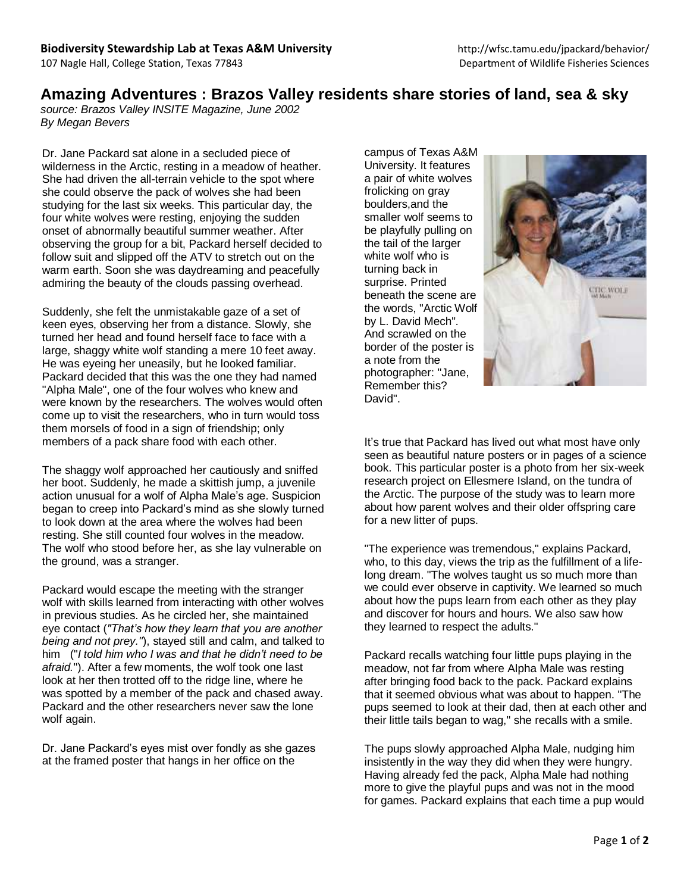## **Amazing Adventures : Brazos Valley residents share stories of land, sea & sky**

*source: Brazos Valley INSITE Magazine, June 2002 By Megan Bevers*

Dr. Jane Packard sat alone in a secluded piece of wilderness in the Arctic, resting in a meadow of heather. She had driven the all-terrain vehicle to the spot where she could observe the pack of wolves she had been studying for the last six weeks. This particular day, the four white wolves were resting, enjoying the sudden onset of abnormally beautiful summer weather. After observing the group for a bit, Packard herself decided to follow suit and slipped off the ATV to stretch out on the warm earth. Soon she was daydreaming and peacefully admiring the beauty of the clouds passing overhead.

Suddenly, she felt the unmistakable gaze of a set of keen eyes, observing her from a distance. Slowly, she turned her head and found herself face to face with a large, shaggy white wolf standing a mere 10 feet away. He was eyeing her uneasily, but he looked familiar. Packard decided that this was the one they had named "Alpha Male", one of the four wolves who knew and were known by the researchers. The wolves would often come up to visit the researchers, who in turn would toss them morsels of food in a sign of friendship; only members of a pack share food with each other.

The shaggy wolf approached her cautiously and sniffed her boot. Suddenly, he made a skittish jump, a juvenile action unusual for a wolf of Alpha Male's age. Suspicion began to creep into Packard's mind as she slowly turned to look down at the area where the wolves had been resting. She still counted four wolves in the meadow. The wolf who stood before her, as she lay vulnerable on the ground, was a stranger.

Packard would escape the meeting with the stranger wolf with skills learned from interacting with other wolves in previous studies. As he circled her, she maintained eye contact (*"That's how they learn that you are another being and not prey."*), stayed still and calm, and talked to him ("*I told him who I was and that he didn't need to be afraid.*"). After a few moments, the wolf took one last look at her then trotted off to the ridge line, where he was spotted by a member of the pack and chased away. Packard and the other researchers never saw the lone wolf again.

Dr. Jane Packard's eyes mist over fondly as she gazes at the framed poster that hangs in her office on the

campus of Texas A&M University. It features a pair of white wolves frolicking on gray boulders,and the smaller wolf seems to be playfully pulling on the tail of the larger white wolf who is turning back in surprise. Printed beneath the scene are the words, "Arctic Wolf by L. David Mech". And scrawled on the border of the poster is a note from the photographer: "Jane, Remember this? David".



It's true that Packard has lived out what most have only seen as beautiful nature posters or in pages of a science book. This particular poster is a photo from her six-week research project on Ellesmere Island, on the tundra of the Arctic. The purpose of the study was to learn more about how parent wolves and their older offspring care for a new litter of pups.

"The experience was tremendous," explains Packard, who, to this day, views the trip as the fulfillment of a lifelong dream. "The wolves taught us so much more than we could ever observe in captivity. We learned so much about how the pups learn from each other as they play and discover for hours and hours. We also saw how they learned to respect the adults."

Packard recalls watching four little pups playing in the meadow, not far from where Alpha Male was resting after bringing food back to the pack. Packard explains that it seemed obvious what was about to happen. "The pups seemed to look at their dad, then at each other and their little tails began to wag," she recalls with a smile.

The pups slowly approached Alpha Male, nudging him insistently in the way they did when they were hungry. Having already fed the pack, Alpha Male had nothing more to give the playful pups and was not in the mood for games. Packard explains that each time a pup would